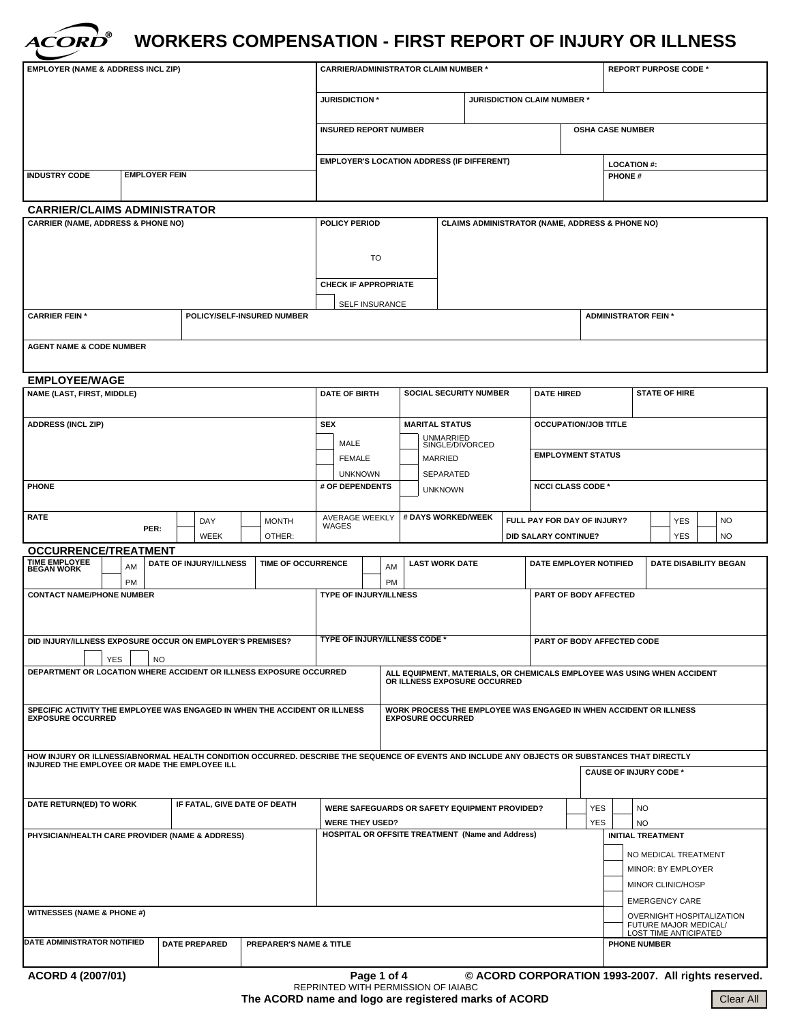

# **WORKERS COMPENSATION - FIRST REPORT OF INJURY OR ILLNESS**

| <b>EMPLOYER (NAME &amp; ADDRESS INCL ZIP)</b>                                                                                                                                                  |                             |  |                              | <b>CARRIER/ADMINISTRATOR CLAIM NUMBER *</b> |                                                                                       |                                      |                                                                             |                                                                                               |                             |                                                |                             | <b>REPORT PURPOSE CODE *</b>              |                            |                                         |  |                               |  |           |                              |  |                                                     |
|------------------------------------------------------------------------------------------------------------------------------------------------------------------------------------------------|-----------------------------|--|------------------------------|---------------------------------------------|---------------------------------------------------------------------------------------|--------------------------------------|-----------------------------------------------------------------------------|-----------------------------------------------------------------------------------------------|-----------------------------|------------------------------------------------|-----------------------------|-------------------------------------------|----------------------------|-----------------------------------------|--|-------------------------------|--|-----------|------------------------------|--|-----------------------------------------------------|
|                                                                                                                                                                                                |                             |  |                              |                                             | <b>JURISDICTION *</b>                                                                 |                                      |                                                                             |                                                                                               | JURISDICTION CLAIM NUMBER * |                                                |                             |                                           |                            |                                         |  |                               |  |           |                              |  |                                                     |
|                                                                                                                                                                                                |                             |  |                              |                                             |                                                                                       | <b>INSURED REPORT NUMBER</b>         |                                                                             |                                                                                               |                             |                                                |                             |                                           |                            | <b>OSHA CASE NUMBER</b>                 |  |                               |  |           |                              |  |                                                     |
|                                                                                                                                                                                                |                             |  |                              |                                             | <b>EMPLOYER'S LOCATION ADDRESS (IF DIFFERENT)</b>                                     |                                      |                                                                             |                                                                                               |                             | <b>LOCATION #:</b>                             |                             |                                           |                            |                                         |  |                               |  |           |                              |  |                                                     |
| <b>EMPLOYER FEIN</b><br><b>INDUSTRY CODE</b>                                                                                                                                                   |                             |  |                              |                                             |                                                                                       |                                      |                                                                             |                                                                                               |                             |                                                | <b>PHONE#</b>               |                                           |                            |                                         |  |                               |  |           |                              |  |                                                     |
|                                                                                                                                                                                                |                             |  |                              |                                             |                                                                                       |                                      |                                                                             |                                                                                               |                             |                                                |                             |                                           |                            |                                         |  |                               |  |           |                              |  |                                                     |
| <b>CARRIER/CLAIMS ADMINISTRATOR</b><br><b>CARRIER (NAME, ADDRESS &amp; PHONE NO)</b>                                                                                                           |                             |  |                              |                                             |                                                                                       |                                      | POLICY PERIOD<br><b>CLAIMS ADMINISTRATOR (NAME, ADDRESS &amp; PHONE NO)</b> |                                                                                               |                             |                                                |                             |                                           |                            |                                         |  |                               |  |           |                              |  |                                                     |
|                                                                                                                                                                                                |                             |  |                              |                                             |                                                                                       |                                      |                                                                             |                                                                                               |                             |                                                |                             |                                           |                            |                                         |  |                               |  |           |                              |  |                                                     |
|                                                                                                                                                                                                |                             |  |                              | TO                                          |                                                                                       |                                      |                                                                             |                                                                                               |                             |                                                |                             |                                           |                            |                                         |  |                               |  |           |                              |  |                                                     |
|                                                                                                                                                                                                |                             |  |                              | <b>CHECK IF APPROPRIATE</b>                 |                                                                                       |                                      |                                                                             |                                                                                               |                             |                                                |                             |                                           |                            |                                         |  |                               |  |           |                              |  |                                                     |
| <b>CARRIER FEIN *</b>                                                                                                                                                                          |                             |  |                              |                                             |                                                                                       | <b>SELF INSURANCE</b>                |                                                                             |                                                                                               |                             |                                                | <b>ADMINISTRATOR FEIN *</b> |                                           |                            |                                         |  |                               |  |           |                              |  |                                                     |
| POLICY/SELF-INSURED NUMBER                                                                                                                                                                     |                             |  |                              |                                             |                                                                                       |                                      |                                                                             |                                                                                               |                             |                                                |                             |                                           |                            |                                         |  |                               |  |           |                              |  |                                                     |
| <b>AGENT NAME &amp; CODE NUMBER</b>                                                                                                                                                            |                             |  |                              |                                             |                                                                                       |                                      |                                                                             |                                                                                               |                             |                                                |                             |                                           |                            |                                         |  |                               |  |           |                              |  |                                                     |
| <b>EMPLOYEE/WAGE</b>                                                                                                                                                                           |                             |  |                              |                                             |                                                                                       |                                      |                                                                             |                                                                                               |                             |                                                |                             |                                           |                            |                                         |  |                               |  |           |                              |  |                                                     |
| NAME (LAST, FIRST, MIDDLE)                                                                                                                                                                     |                             |  |                              |                                             | <b>DATE OF BIRTH</b>                                                                  |                                      |                                                                             | <b>SOCIAL SECURITY NUMBER</b>                                                                 |                             |                                                |                             | <b>DATE HIRED</b><br><b>STATE OF HIRE</b> |                            |                                         |  |                               |  |           |                              |  |                                                     |
| <b>ADDRESS (INCL ZIP)</b>                                                                                                                                                                      |                             |  |                              |                                             |                                                                                       |                                      | <b>SEX</b>                                                                  |                                                                                               |                             | <b>MARITAL STATUS</b><br><b>UNMARRIED</b>      |                             |                                           |                            | <b>OCCUPATION/JOB TITLE</b>             |  |                               |  |           |                              |  |                                                     |
|                                                                                                                                                                                                |                             |  |                              |                                             |                                                                                       |                                      | MALE                                                                        | <b>FEMALE</b>                                                                                 |                             |                                                | MARRIED                     | SINGLE/DIVORCED                           |                            | <b>EMPLOYMENT STATUS</b>                |  |                               |  |           |                              |  |                                                     |
|                                                                                                                                                                                                |                             |  |                              |                                             |                                                                                       |                                      |                                                                             | <b>UNKNOWN</b>                                                                                |                             |                                                | SEPARATED                   |                                           |                            |                                         |  |                               |  |           |                              |  |                                                     |
| <b>PHONE</b>                                                                                                                                                                                   |                             |  |                              | # OF DEPENDENTS                             |                                                                                       |                                      |                                                                             | <b>UNKNOWN</b>                                                                                |                             |                                                | <b>NCCI CLASS CODE *</b>    |                                           |                            |                                         |  |                               |  |           |                              |  |                                                     |
| <b>RATE</b>                                                                                                                                                                                    | DAY<br><b>MONTH</b><br>PER: |  |                              |                                             | AVERAGE WEEKLY<br><b>WAGES</b>                                                        |                                      |                                                                             |                                                                                               |                             | # DAYS WORKED/WEEK                             |                             | FULL PAY FOR DAY OF INJURY?               |                            |                                         |  | <b>YES</b>                    |  | <b>NO</b> |                              |  |                                                     |
|                                                                                                                                                                                                |                             |  | <b>WEEK</b>                  |                                             | OTHER:                                                                                |                                      |                                                                             |                                                                                               |                             |                                                |                             |                                           |                            | <b>DID SALARY CONTINUE?</b>             |  |                               |  |           | <b>YES</b>                   |  | <b>NO</b>                                           |
| <b>OCCURRENCE/TREATMENT</b><br><b>TIME EMPLOYEE</b>                                                                                                                                            | AM                          |  | DATE OF INJURY/ILLNESS       |                                             | TIME OF OCCURRENCE                                                                    |                                      |                                                                             |                                                                                               | AM                          |                                                | <b>LAST WORK DATE</b>       |                                           |                            | DATE EMPLOYER NOTIFIED                  |  |                               |  |           | <b>DATE DISABILITY BEGAN</b> |  |                                                     |
| <b>BEGAN WORK</b>                                                                                                                                                                              | <b>PM</b>                   |  |                              |                                             |                                                                                       |                                      |                                                                             |                                                                                               | <b>PM</b>                   |                                                |                             |                                           |                            |                                         |  |                               |  |           |                              |  |                                                     |
| <b>CONTACT NAME/PHONE NUMBER</b>                                                                                                                                                               |                             |  |                              |                                             |                                                                                       |                                      | <b>TYPE OF INJURY/ILLNESS</b>                                               |                                                                                               |                             |                                                | PART OF BODY AFFECTED       |                                           |                            |                                         |  |                               |  |           |                              |  |                                                     |
|                                                                                                                                                                                                |                             |  |                              |                                             |                                                                                       |                                      |                                                                             |                                                                                               |                             |                                                |                             |                                           |                            |                                         |  |                               |  |           |                              |  |                                                     |
| DID INJURY/ILLNESS EXPOSURE OCCUR ON EMPLOYER'S PREMISES?                                                                                                                                      |                             |  |                              |                                             |                                                                                       | <b>TYPE OF INJURY/ILLNESS CODE *</b> |                                                                             |                                                                                               |                             |                                                |                             |                                           | PART OF BODY AFFECTED CODE |                                         |  |                               |  |           |                              |  |                                                     |
| <b>YES</b><br>NO.<br>DEPARTMENT OR LOCATION WHERE ACCIDENT OR ILLNESS EXPOSURE OCCURRED<br>ALL EQUIPMENT, MATERIALS, OR CHEMICALS EMPLOYEE WAS USING WHEN ACCIDENT                             |                             |  |                              |                                             |                                                                                       |                                      |                                                                             |                                                                                               |                             |                                                |                             |                                           |                            |                                         |  |                               |  |           |                              |  |                                                     |
|                                                                                                                                                                                                |                             |  |                              |                                             |                                                                                       |                                      |                                                                             | OR ILLNESS EXPOSURE OCCURRED                                                                  |                             |                                                |                             |                                           |                            |                                         |  |                               |  |           |                              |  |                                                     |
| SPECIFIC ACTIVITY THE EMPLOYEE WAS ENGAGED IN WHEN THE ACCIDENT OR ILLNESS<br><b>EXPOSURE OCCURRED</b>                                                                                         |                             |  |                              |                                             |                                                                                       |                                      |                                                                             | WORK PROCESS THE EMPLOYEE WAS ENGAGED IN WHEN ACCIDENT OR ILLNESS<br><b>EXPOSURE OCCURRED</b> |                             |                                                |                             |                                           |                            |                                         |  |                               |  |           |                              |  |                                                     |
|                                                                                                                                                                                                |                             |  |                              |                                             |                                                                                       |                                      |                                                                             |                                                                                               |                             |                                                |                             |                                           |                            |                                         |  |                               |  |           |                              |  |                                                     |
| HOW INJURY OR ILLNESS/ABNORMAL HEALTH CONDITION OCCURRED. DESCRIBE THE SEQUENCE OF EVENTS AND INCLUDE ANY OBJECTS OR SUBSTANCES THAT DIRECTLY<br>INJURED THE EMPLOYEE OR MADE THE EMPLOYEE ILL |                             |  |                              |                                             |                                                                                       |                                      |                                                                             |                                                                                               |                             |                                                |                             |                                           |                            |                                         |  |                               |  |           |                              |  |                                                     |
|                                                                                                                                                                                                |                             |  |                              |                                             |                                                                                       |                                      |                                                                             |                                                                                               |                             |                                                |                             |                                           |                            |                                         |  | <b>CAUSE OF INJURY CODE *</b> |  |           |                              |  |                                                     |
| DATE RETURN(ED) TO WORK                                                                                                                                                                        |                             |  | IF FATAL, GIVE DATE OF DEATH |                                             |                                                                                       |                                      |                                                                             |                                                                                               |                             |                                                |                             |                                           |                            |                                         |  | <b>YES</b>                    |  |           |                              |  |                                                     |
|                                                                                                                                                                                                |                             |  |                              |                                             | WERE SAFEGUARDS OR SAFETY EQUIPMENT PROVIDED?<br><b>YES</b><br><b>WERE THEY USED?</b> |                                      |                                                                             |                                                                                               |                             |                                                |                             | <b>NO</b><br><b>NO</b>                    |                            |                                         |  |                               |  |           |                              |  |                                                     |
| PHYSICIAN/HEALTH CARE PROVIDER (NAME & ADDRESS)                                                                                                                                                |                             |  |                              |                                             | HOSPITAL OR OFFSITE TREATMENT (Name and Address)                                      |                                      |                                                                             |                                                                                               |                             |                                                |                             |                                           | <b>INITIAL TREATMENT</b>   |                                         |  |                               |  |           |                              |  |                                                     |
|                                                                                                                                                                                                |                             |  |                              |                                             |                                                                                       |                                      |                                                                             |                                                                                               |                             |                                                |                             |                                           | NO MEDICAL TREATMENT       |                                         |  |                               |  |           |                              |  |                                                     |
|                                                                                                                                                                                                |                             |  |                              |                                             |                                                                                       |                                      |                                                                             |                                                                                               |                             |                                                |                             |                                           |                            | MINOR: BY EMPLOYER<br>MINOR CLINIC/HOSP |  |                               |  |           |                              |  |                                                     |
|                                                                                                                                                                                                |                             |  |                              |                                             |                                                                                       |                                      |                                                                             |                                                                                               |                             |                                                |                             |                                           | <b>EMERGENCY CARE</b>      |                                         |  |                               |  |           |                              |  |                                                     |
| <b>WITNESSES (NAME &amp; PHONE #)</b>                                                                                                                                                          |                             |  |                              |                                             |                                                                                       |                                      |                                                                             |                                                                                               |                             |                                                |                             | OVERNIGHT HOSPITALIZATION                 |                            |                                         |  |                               |  |           |                              |  |                                                     |
|                                                                                                                                                                                                |                             |  |                              |                                             |                                                                                       |                                      |                                                                             |                                                                                               |                             | FUTURE MAJOR MEDICAL/<br>LOST TIME ANTICIPATED |                             |                                           |                            |                                         |  |                               |  |           |                              |  |                                                     |
| DATE ADMINISTRATOR NOTIFIED                                                                                                                                                                    |                             |  | <b>DATE PREPARED</b>         |                                             | <b>PREPARER'S NAME &amp; TITLE</b>                                                    | <b>PHONE NUMBER</b>                  |                                                                             |                                                                                               |                             |                                                |                             |                                           |                            |                                         |  |                               |  |           |                              |  |                                                     |
| ACORD 4 (2007/01)                                                                                                                                                                              |                             |  |                              |                                             |                                                                                       |                                      |                                                                             | Page 1 of 4                                                                                   |                             | REPRINTED WITH PERMISSION OF IAIABC            |                             |                                           |                            |                                         |  |                               |  |           |                              |  | © ACORD CORPORATION 1993-2007. All rights reserved. |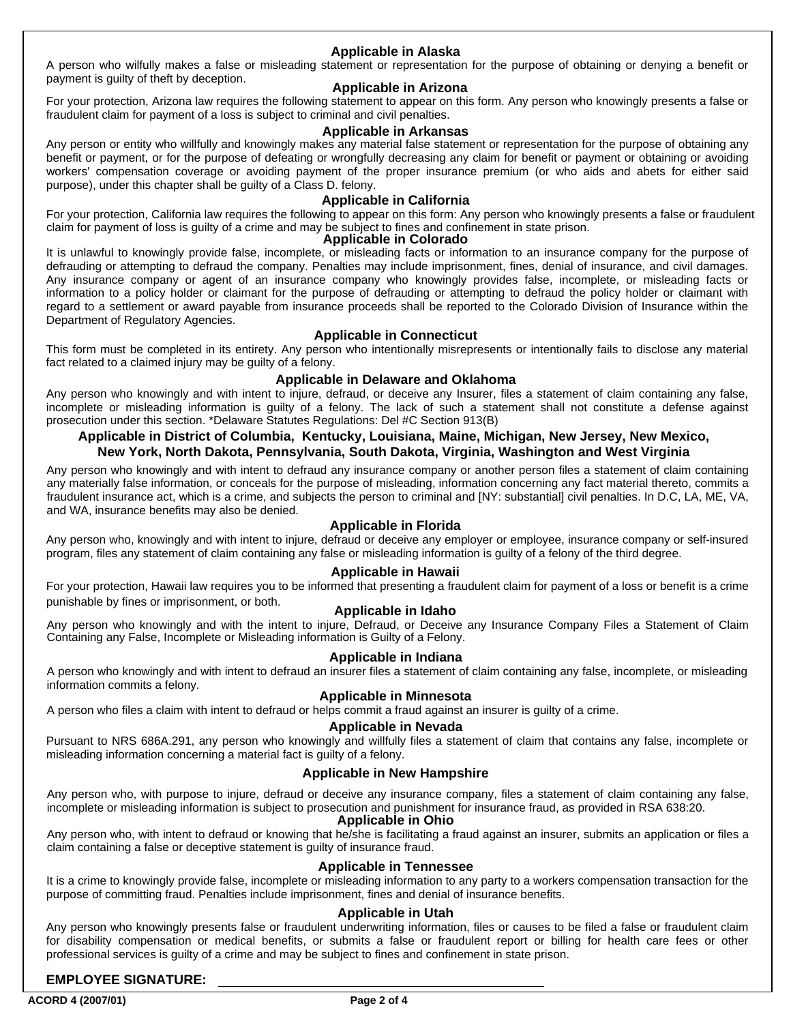# **Applicable in Alaska**

A person who wilfully makes a false or misleading statement or representation for the purpose of obtaining or denying a benefit or payment is guilty of theft by deception.

# **Applicable in Arizona**

For your protection, Arizona law requires the following statement to appear on this form. Any person who knowingly presents a false or fraudulent claim for payment of a loss is subject to criminal and civil penalties.

## **Applicable in Arkansas**

Any person or entity who willfully and knowingly makes any material false statement or representation for the purpose of obtaining any benefit or payment, or for the purpose of defeating or wrongfully decreasing any claim for benefit or payment or obtaining or avoiding workers' compensation coverage or avoiding payment of the proper insurance premium (or who aids and abets for either said purpose), under this chapter shall be guilty of a Class D. felony.

# **Applicable in California**

For your protection, California law requires the following to appear on this form: Any person who knowingly presents a false or fraudulent claim for payment of loss is guilty of a crime and may be subject to fines and confinement in state prison.

## **Applicable in Colorado**

It is unlawful to knowingly provide false, incomplete, or misleading facts or information to an insurance company for the purpose of defrauding or attempting to defraud the company. Penalties may include imprisonment, fines, denial of insurance, and civil damages. Any insurance company or agent of an insurance company who knowingly provides false, incomplete, or misleading facts or information to a policy holder or claimant for the purpose of defrauding or attempting to defraud the policy holder or claimant with regard to a settlement or award payable from insurance proceeds shall be reported to the Colorado Division of Insurance within the Department of Regulatory Agencies.

## **Applicable in Connecticut**

This form must be completed in its entirety. Any person who intentionally misrepresents or intentionally fails to disclose any material fact related to a claimed injury may be guilty of a felony.

## **Applicable in Delaware and Oklahoma**

Any person who knowingly and with intent to injure, defraud, or deceive any Insurer, files a statement of claim containing any false, incomplete or misleading information is guilty of a felony. The lack of such a statement shall not constitute a defense against prosecution under this section. \*Delaware Statutes Regulations: Del #C Section 913(B)

# **Applicable in District of Columbia, Kentucky, Louisiana, Maine, Michigan, New Jersey, New Mexico, New York, North Dakota, Pennsylvania, South Dakota, Virginia, Washington and West Virginia**

Any person who knowingly and with intent to defraud any insurance company or another person files a statement of claim containing any materially false information, or conceals for the purpose of misleading, information concerning any fact material thereto, commits a fraudulent insurance act, which is a crime, and subjects the person to criminal and [NY: substantial] civil penalties. In D.C, LA, ME, VA, and WA, insurance benefits may also be denied.

# **Applicable in Florida**

Any person who, knowingly and with intent to injure, defraud or deceive any employer or employee, insurance company or self-insured program, files any statement of claim containing any false or misleading information is guilty of a felony of the third degree.

## **Applicable in Hawaii**

For your protection, Hawaii law requires you to be informed that presenting a fraudulent claim for payment of a loss or benefit is a crime punishable by fines or imprisonment, or both.

# **Applicable in Idaho**

Any person who knowingly and with the intent to injure, Defraud, or Deceive any Insurance Company Files a Statement of Claim Containing any False, Incomplete or Misleading information is Guilty of a Felony.

## **Applicable in Indiana**

A person who knowingly and with intent to defraud an insurer files a statement of claim containing any false, incomplete, or misleading information commits a felony.

## **Applicable in Minnesota**

A person who files a claim with intent to defraud or helps commit a fraud against an insurer is guilty of a crime.

## **Applicable in Nevada**

Pursuant to NRS 686A.291, any person who knowingly and willfully files a statement of claim that contains any false, incomplete or misleading information concerning a material fact is guilty of a felony.

## **Applicable in New Hampshire**

Any person who, with purpose to injure, defraud or deceive any insurance company, files a statement of claim containing any false, incomplete or misleading information is subject to prosecution and punishment for insurance fraud, as provided in RSA 638:20.

## **Applicable in Ohio**

Any person who, with intent to defraud or knowing that he/she is facilitating a fraud against an insurer, submits an application or files a claim containing a false or deceptive statement is guilty of insurance fraud.

## **Applicable in Tennessee**

It is a crime to knowingly provide false, incomplete or misleading information to any party to a workers compensation transaction for the purpose of committing fraud. Penalties include imprisonment, fines and denial of insurance benefits.

## **Applicable in Utah**

Any person who knowingly presents false or fraudulent underwriting information, files or causes to be filed a false or fraudulent claim for disability compensation or medical benefits, or submits a false or fraudulent report or billing for health care fees or other professional services is guilty of a crime and may be subject to fines and confinement in state prison.

# **EMPLOYEE SIGNATURE:**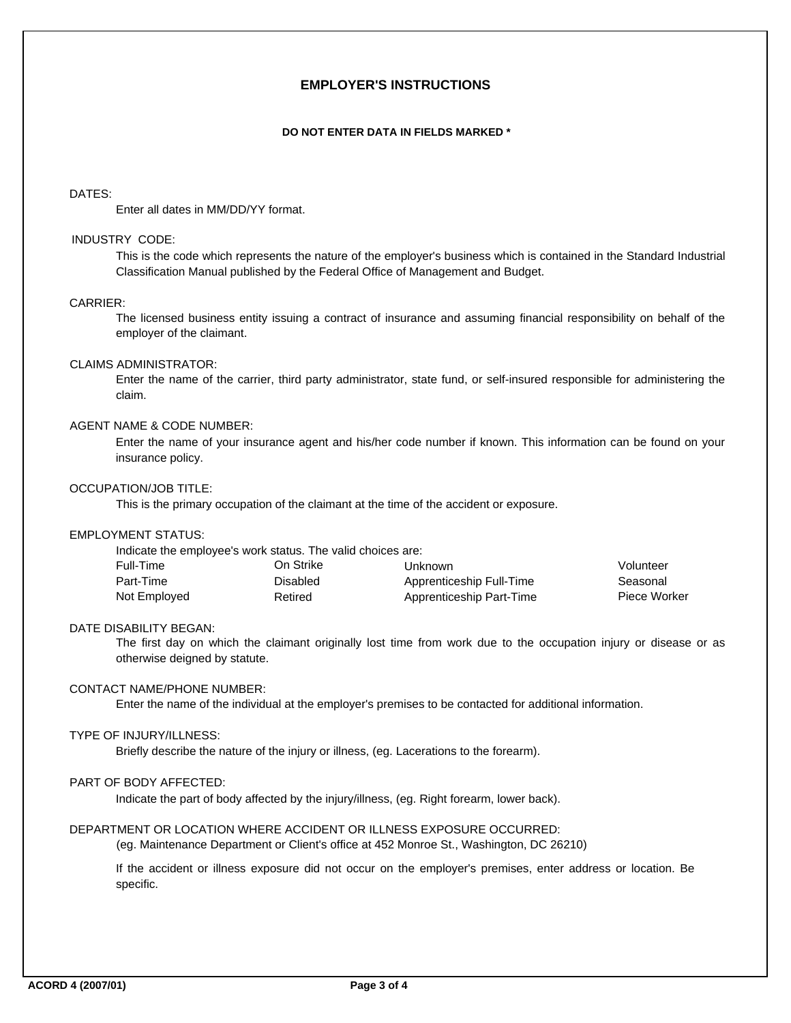# **EMPLOYER'S INSTRUCTIONS**

#### **DO NOT ENTER DATA IN FIELDS MARKED \***

## DATES:

Enter all dates in MM/DD/YY format.

#### INDUSTRY CODE:

This is the code which represents the nature of the employer's business which is contained in the Standard Industrial Classification Manual published by the Federal Office of Management and Budget.

## CARRIER:

The licensed business entity issuing a contract of insurance and assuming financial responsibility on behalf of the employer of the claimant.

## CLAIMS ADMINISTRATOR:

Enter the name of the carrier, third party administrator, state fund, or self-insured responsible for administering the claim.

## AGENT NAME & CODE NUMBER:

Enter the name of your insurance agent and his/her code number if known. This information can be found on your insurance policy.

## OCCUPATION/JOB TITLE:

This is the primary occupation of the claimant at the time of the accident or exposure.

# EMPLOYMENT STATUS:

|              | Indicate the employee's work status. The valid choices are: |                          |              |
|--------------|-------------------------------------------------------------|--------------------------|--------------|
| Full-Time    | On Strike                                                   | Unknown                  | Volunteer    |
| Part-Time    | <b>Disabled</b>                                             | Apprenticeship Full-Time | Seasonal     |
| Not Employed | Retired                                                     | Apprenticeship Part-Time | Piece Worker |

#### DATE DISABILITY BEGAN:

The first day on which the claimant originally lost time from work due to the occupation injury or disease or as otherwise deigned by statute.

## CONTACT NAME/PHONE NUMBER:

Enter the name of the individual at the employer's premises to be contacted for additional information.

## TYPE OF INJURY/ILLNESS:

Briefly describe the nature of the injury or illness, (eg. Lacerations to the forearm).

# PART OF BODY AFFECTED:

Indicate the part of body affected by the injury/illness, (eg. Right forearm, lower back).

## DEPARTMENT OR LOCATION WHERE ACCIDENT OR ILLNESS EXPOSURE OCCURRED:

(eg. Maintenance Department or Client's office at 452 Monroe St., Washington, DC 26210)

If the accident or illness exposure did not occur on the employer's premises, enter address or location. Be specific.